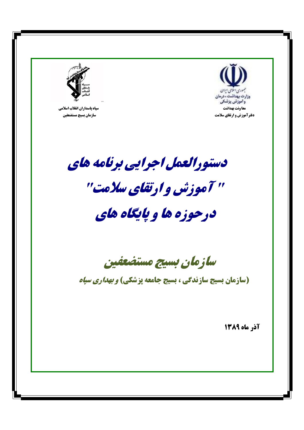

سپاه پاسداران انقلاب اسلامی سازمان بسيج مستضعفين



دستورالعمل اجرایی برنامه های

# " آموزش و ارتقای سلامت"

## درحوزه ها و پایگاه های

سازمان بسيج مستضعفين

(سازمان بسیج سازندگی ، بسیج جامعه پزشکی) *و بهداری سیاه* 

آذر ماه ١٣٨٩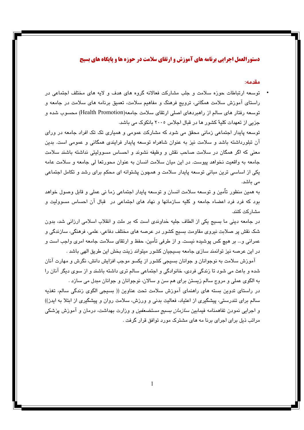## دستورالعمل اجرایی برنامه های آموزش و ارتقای سلامت در حوزه ها و پایگاه های بسیج

مقدمه:

توسعه ارتباطات حوزه سلامت و جلب مشارکت فعالانه گروه های هدف و لایه های مختلف اجتماعی در راستای آموزش سلامت همگانی، ترویج فرهنگ و مفاهیم سلامت، تعمیق برنامه های سلامت در جامعه و توسعه رفتار های سالم از راهبردهای اصلی ارتقای سلامت جامعه(Health Promotion) محسوب شده و جزیی از تعهدات کلیهٌ کشور ها در قبال اجلاس ۲۰۰۵ بانکوک می باشد.

توسعه پایدار اجتماعی زمانی محقق می شود که مشارکت عمومی و همیاری تک تک افراد جامعه در ورای آن تبلورداشته باشد و سلامت نیز به عنوان شاهراه توسعه پایدار فرایندی همگانی و عمومی است. بدین معنی که اگر همگان در سلامت صاحب نقش و وظیفه نشوند و احساس مسوولیتی نداشته باشند سلامت جامعه به واقعیت نخواهد پیوست. در این میان سلامت انسان به عنوان محورتعا لی جامعه و سلامت عامه یکی از اساسی ترین مبانی توسعه پایدار سلامت و همچون پشتوانه ای محکم برای رشد و تکامل اجتماعی مے باشد.

به همین منظور تأمین و توسعه سلامت انسان و توسعه پایدار اجتماعی زما نی عملی و قابل وصول خواهد بود که فرد فرد اعضاء جامعه و کلیه سازمانها و نهاد های اجتماعی در قبال آن احساس مسوولیت و مشار کت کنند.

در جامعه دینی ما بسیج یکی از الطاف جلیه خداوندی است که بر ملت و انقلاب اسلامی ارزانی شد، بدون شک نقش پر صلابت نیروی مقاومت بسیج کشور در عرصه های مختلف دفاعی، علمی، فرهنگی، سازندگی و عمراني و… بر هيچ كس پوشيده نيست. و از طرفي تأمين، حفظ و ارتقاي سلامت جامعه امري واجب است و در این عرصه نیز توانمند سازی جامعه بسیجیان کشور میتواند زینت بخش این طریق الهی باشد .

آموزش سلامت به نوجوانان و جوانان بسیجی کشور از یکسو موجب افزایش دانش، نگرش و مهارت آنان شده و پاعث می شود تا زندگی فردی، خانوادگی و اجتماعی سالم تری داشته پاشند و از سوی دیگر آنان را به الگوی عملی و مروج سالم زیستن برای هم سن و سالان، نوجوانان و جوانان مبدل می سازد .

در راستای تدوین بسته های راهنمای آموزش سلامت تحت عناوین (( بسیجی الگوی زندگی سالم، تغذیه سالم برای تندرستی، پیشگیری از اعتیاد، فعالیت بدنی و ورزش، سلامت روان و پیشگیری از ابتلا به ایدز)) و اجرایی نمودن تفاهمنامه فیمابین *سازمان بسیج مستضعفین و* وزارت بهداشت، درمان و آموزش پزشکی مراتب ذیل برای اجرای برنا مه های مشترک مورد توافق قرار گرفت .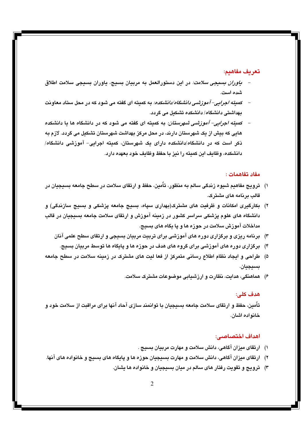## **:**

- *یاوران بسیجی سلامت:* در این دستورالعمل به مربیان بسیج، یاوران بسیجی سلامت اطلاق **. ()**
- ک*میته اجرایی– آموزشی دانشگاه/دانشکده:* به کمیته ای گفته می شود که در محل ستاد معاونت **ب**هداشتی دانشگاه/ دانشکده تشکیل می گردد.
- ک*میته اجرایی- آموزشی شهرستان:* به کمیته ای گفته می شود که در دانشگاه ها یا دانشکده هایی که بیش از یک شهرستان دارند، در محل مرکز بهداشت شهرستان تشکیل می گردد. لازم به ذکر است که در دانشگاه/دانشکده دارای یک شهرستان، کمیته اجرایی- اموزشی دانشگاه/ دانشکده، وظایف این کمیته را نیز با حفظ وظایف خود بعهده دارد.

#### **مغاد تغاهمات :**

- ۱) ترویج مفاهیم شیوه زندگی سالم به منظور، تامین، حفظ و ارتقای سلامت در سطح جامعه بسیجیان در قالب برنامه های مشترک.
- ۲) بکارگیری امکانات و ظرفیت های مشترک(بهداری سپاه، بسیج جامعه پزشکی و بسیج سازندگی) و دانشگاه های علوم پزشکی سراسر کشور در زمینه اموزش و ارتقای سلامت جامعه بسیجیان در قالب مداخلات آموزش سلامت در حوزه ها و یا یگاه های بسیج.
	- **/1 RS HI 6 6 )0!1 6 (# 685 68 -/ (3**
		- ۴) برگزاری دوره های آموزشی برای گروه های هدف در حوزه ها و پایگاه ها توسط مربیان بسیج.
- ۵) طراحی و ایجاد نظام اطلاع رسانی متمرکز از فعا لیت های مشترک در زمینه سلامت در سطح جامعه **بسيجيان.** 
	- ۶) هماهنگی، هدایت، نظارت و ارزشیابی موضوعات مشترک سلامت.

## **:R, W**

**ت**امین، حفظ و ارتقای سلامت جامعه بسیجیان با توانمند سازی احاد انها برای مراقبت از سلامت خود و **.) (#!/>**

#### **:^\_"> W**

- ۱) ارتقای میزان آگاهی، دانش سلامت و مهارت مربیان بسیج .
- ۲) ارتقای میزان آگاهی، دانش سلامت و مهارت بسیجیان حوزه ها و پایگاه های بسیج و خانواده های آنها.
	- **.. (#!/> # 6 "N ! (3**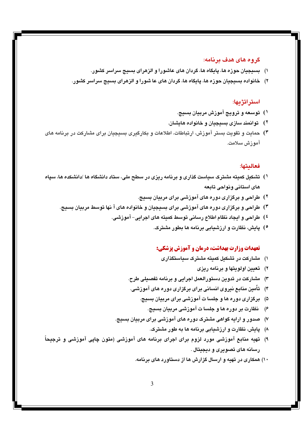## گر و ه های هدف بر نامه:

- ۱) بسیجیان حوزه ها، پایگاه ها، گردان های عاشورا و الزهرای بسیج سراسر کشور.
- ۲) خانواده بسیجیان حوزه ها، پایگاه ها، گردان های عا شورا و الزهرای بسیج سراسر کشور.

## استراتژیها:

- ۱) ټوسعه و ټروپج آموزش مربيان بسيج.
- ۲) قوانمند سازی بسیجیان و خانواده هایشان.
- ۳) حمایت و تقویت بستر آموزش، ارتباطات، اطلاعات و بکارگیری بسیجیان برای مشارکت در برنامه های آمو ; ش سلامت.

## فعالىتها:

- <sup>۱</sup>) تشکیل کمیته مشترک سیاست گذاری و برنامه ریزی در سطح ملی، ستاد دانشگاه ها /دانشکده ها، سیاه هاى استانى ونواحى تابعه
	- ۲) طراحی و برگزاری دوره های آموزشی برای مربیان بسیج.
	- ۳) طراحی و برگزاری دوره های آموزشی برای بسیجیان و خانواده های آ نها توسط مربیان بسیج.
		- <sup>٤</sup>) طراحي و ايجاد نظام اطلاع رساني توسط كميته هاي اجرايي– آموزشي.
			- °) یایش، نظارت و ارزشیایی برنامه ها بطور مشترک.

## تعهدات وزارت بهداشت، درمان و آموزش پزشکی:

- ۱) مشارکت در تشکیل کمیته مشترک سیاستگذاری
	- ۲) تعیین اولویتها و برنامه ریزی
- ۳) مشارکت در تدوین دستورالعمل اجرایی و برنامه تفصیلی طرح.
- ۴) تأمین منابع نیروی انسانی برای برگزاری دوره های آموزشی.
	- ۵) \_ برگزاری دوره ها و جلسا ت آموزشی برای مربیان بسیج.
		- ۶) نظارت بر دوره ها و جلسا ت آموزشی مربیان بسیج.
- ۷) صدور و ارایه گواهی مشترک دوره های آموزشی برای مربیان بسیج.
	- ۸) پایش، نظارت و ارزشیابی برنامه ها به طور مشترک.
- ۹) تهیه منابع آموزشی مورد لزوم برای اجرای برنامه های آموزشی (متون چایی آموزشی و ترجیحاً رسانه های تصویری و دیجیتال .
	- ۱۰) همکاری در تهیه و ارسال گزارش ها از دستاورد های برنامه.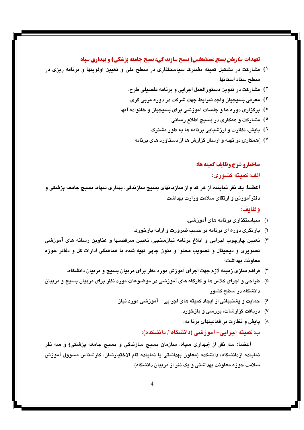#### **تعهدات** *سازمان بسیج مستضعفین(* **بسیج سازند گی، بسیج جامعه پزشکی) و بهداری سپاه**

- ۱) مشارکت در تشکیل کمیته مشترک سیاستگذاری در سطح ملی و تعیین اولویتها و برنامه ریزی در سطح ستاد استانها.
	- ۲) مشارکت در تدوین دستورالعمل اجرایی و برنامه تغصبلی طرح.
	- ۳) معرفی بسیجیان واجد شرایط جهت شرکت در دوره مربی گری.
	- <sup>٤</sup>) برگزاری دوره ها و جلسات آموزشی برای بسیجیان و خانواده آنها.
		- °) مشارکت و همکاری در بسیج اطلاع رسانی.
		- <sup>۲</sup>) پایش، نظارت و ارزشیابی برنامه ها به طور مشترک.
		- ۷) ) )همکاری در تهیه و ارسال گزارش ها از دستاورد های برنامه.

#### ساختارو شرح وظايف كميته ها:

#### الف: كمىتە كشورى:

اعضـا: یک نفر نماینده از هر کدام از سازمانهای بسیج سازندگی، بهداری سپاه، بسیج جامعه پزشکی و دفترآموزش و ارتقای سلامت وزارت بهداشت.

#### وظائف:

- ۱) سیاستگذاری برنامه های آموزشی.
- ۲) بازنگری دوره ای برنامه بر حسب ضرورت و ارایه بازخورد.
- ۳) تعیین چارچوب اجرایی و ابلاغ برنامه نیازسنجی، تعیین سرفصلها و عناوین رسانه های آموزشی تصويري و ديجيتال و تصويب محتوا و متون چايي تهيه شده با هماهنگي ادارات كل و دفاتر حوزه معاونت بهداشت<del>.</del>
	- ۴) فراهم سازی زمینه لازم جهت اجرای آموزش مورد نظر برای مربیان بسیج و مربیان دانشگاه.
- ۵) طراحی و اجرای کلاس ها و کارگاه های آموزشی در موضوعات مورد نظر برای مربیان بسیج و مربیان دانشگاه در سطح کشور.
	- ۶) حمایت و پشتیبانی از ایجاد کمیته های اجرایی آموزشی مورد نیاز
		- ۷) دریافت گزارشات، بررسی و بازخورد.
		- ۸) پایش و نظارت بر فعالیتهای برنا مه.

ب: کمیته اجرایی– آموزشی (دانشگاه / دانشکده):

اعضا: سه نفر از <del>(</del>بهداری سیا*ه،* سازمان بسیج سازندگی و بسیج جامعه یزشکی<del>)</del> و سه نفر نماينده ازدانشگاه/ دانشكده (معاون بهداشتی یا نماينده تام الاختيارشان، كارشناس مسوول آموزش سلامت حوزه معاونت بهداشتی و یک نفر از مربیان دانشگاه).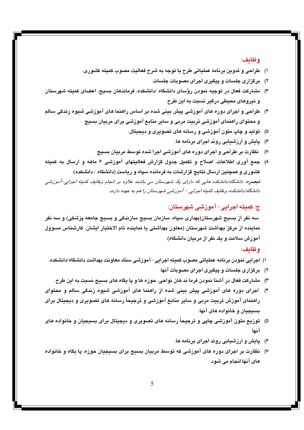## وظائف:

- ۱) طراحی و تدوین برنامه عملیاتی طرح با توجه به شرح فعالیت مصوب کمیته کشوری.
	- ۲) برگزاری جلسات و پیگیری اجرای مصوبات جلسات.
- ۳) مشاركت فعال در توجيه نمودن روٌساي دانشگاه /دانشكده، فرماندهان بسيج، اعضاي كميته شهرستان و نيروهای محيطی درگير نسبت به اين طرح.
- ۴) طراحی و اجرای دوره های آموزشی پیش بینی شده بر اساس راهنما های آموزشی شیوه زندگی سالم و محتوای راهنمای آموزشی تربیت مربی و سایر منابع آموزشی برای مربیان بسیج
	- ۵) ټولند و چاپ متون آموزشي و رسانه های تصويري و ديجيتال.
		- ۶) پایش و ارزشیابی روند اجرای برنامه ها.
	- ۷) نظارت بر طراحی و اجرای دوره های آموزشی اجرا شده توسط مربیان بسیج
- ۸) جمع آوری اطلاعات، اصلاح و تکمیل جدول گزارش فعالیتهای آموزشی ۶ ماهه و ارسال به کمیته کشوری و همچنین ارسال نتایج گزارشات به فرمانده سیاه و ریاست (دانشگاه / دانشکده). تبصره: دانشگاه/دانشکده هایی که دارای یک شهرستان می باشند علاوه بر انجام وظایف کمیته اجرایی-آموزشی دانشگاه/دانشکده، وظایف کمیته اجرایی – آموزشی شهرستان را هم به عهده دارند.

ج: کمیته اجرایی– آموزشی شهرستان:

سه نفر از بسیج شهرستان(بهداری سیاه، سازمان بسیج سازندگی و بسیج جامعه یزشکی) و سه نفر نماینده از مرکز بهداشت شهرستان (معاون بهداشتی یا نماینده تام الاختیار ایشان، کارشناس مسوول آموزش سلامت و یک نفر از مریبان دانشگاه).

#### وظائف:

- ١) اجرايي نمودن برنامه عملياتي مصوب كميته اجرايي–آموزشي ستاد معاونت بهداشت دانشكاه/دانشكده.
	- ۲) برگزاری جلسات و پیگیری اجرای مصوبات آنها.
	- ۳) مشارکت فعال در آشنا نمودن فرما ند هان نواحی، حوزه ها و یا یگاه های بسیج نسبت به این طرح.
- ۴) اجرای دوره های آموزشی پیش بینی شده از راهنما های آموزشی شیوه زندگی سالم و محتوای راهنمای آموزش تربیت مربی و سایر منابع آموزشی و ترجیحاً رسانه های تصویری و دیجیتال برای يسيجيان و خانواده هاي آنها.
- ۵) ټوزيع متون آموزشي چايي و ترجيحاً رسانه هاي تصويري و ديجيتال براي بسيجيان و خانواده هاي آنها
	- ۶) پایش و ارزشیابی روند اجرای برنامه ها.
- ۷) نظارت بر اجرای دوره های آموزشی که توسط مربیان بسیج برای بسیجیان حوزه، یا یگاه و خانواده های آنها انجام می شود.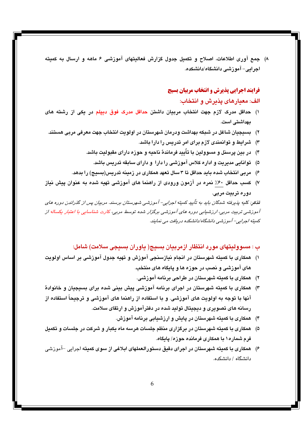۸) جمع آوری اطلاعات، اصلاح و تکمیل جدول گزارش فعالیتهای آموزشی ۶ ماهه و ارسال به کمیته اجرائے – آموزشی دانشگاہ/دانشکدہ.

## فرایند اجرایی پذیرش و انتخاب مربیان بسیج

## الف: معیارهای یذیرش و انتخاب:

- ۱) حداقل مدرک لازم جهت انتخاب مربیان داشتن حداقل مدرک فوق دیپلم در یکی از رشته های بھداشتے است.
- ۲) \_ بسیجیان شاغل در شبکه بهداشت ودرمان شهرستان در اولویت انتخاب جهت معرفی مربی هستند.
	- ۳) شرایط و توانمندی لازم برای امر تدریس را دارا باشد.
	- ۴) در بین پرسنل و مسوولین با تأیید فرماندهٔ ناحیه و حوزه دارای مقبولیت باشد.
		- ۵) توانایی مدیریت و اداره کلاس آموزشی را دارا ً و دارای سابقه تدریس باشد.
	- ۶) مربی انتخاب شده باید حداقل تا ۳ سال تعهد همکاری در زمینه تدریس(بسیج) را بدهد.
- ۷) کسب حداقل ۶۰٪ نمره در آزمون ورودی از راهنما های آموزشی تهیه شده به عنوان پیش نیاز دوره تربيت مربي.

تذکر: کلیه پذیرفته شدگان باید به تاُسٍ کمیته اجرایی- آموزشی شهرستان برسند. مربیان پس از گذراندن دوره های آموزشی تربیت مربی، ارزشیابی دوره های آموزشی برگزار شده توسط مربی، کارت شناسایی با اعتبار یکساله از كميته اجرايي- آموزشي دانشگاه/دانشكده دريافت مي نمايند.

## ب : مسوولیتهای مورد انتظار ازمربیان بسیج( یاوران بسیجی سلامت) شامل:

- ۱)۔ همکاری با کمیته شهرستان در انجام نیازسنجی آموزش و تهیه جدول آموزشی بر اساس اولویت های آموزشی و نصب در حوزه ها و پایگاه های منتخب.
	- ۲) همکاری با کمیته شهرستان در طراحی برنامه آموزشی.
- ۳) همکاری با کمیته شهرستان در اجرای برنامه آموزشی پیش بینی شده برای بسیجیان و خانوادهٌ آنها با توجه به اولویت های آموزشی. و با استفاده از راهنما های آموزشی و ترجیحاً استفاده از رسانه های تصویری و دیجیتال تولید شده در دفترآموزش و ارتقای سلامت.
	- ۴) همکاری با کمیته شهرستان در پایش و ارزشیابی برنامه آموزش.
- ۵) همکاری با کمیته شهرستان در برگزاری منظم جلسات هرسه ماه یکبار و شرکت در جلسات و تکمیل فرم شماره۱ با همکاری فرمانده حوزه/ یابگاه.
- ۶) همکاری با کمیته شهرستان در اجرای دقیق دستورالعملهای ایلاغی از سوی کمیته اجرایی –آموزشی دانشگاه / دانشکده.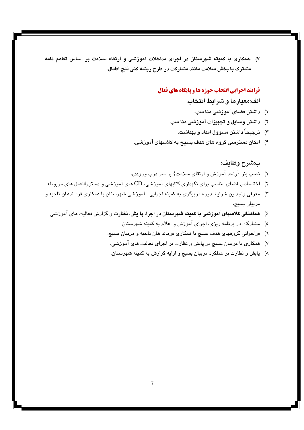۷) .همکاری با کمیته شهرستان در اجرای مداخلات آموزشی و ارتقاء سلامت بر اساس تفاهم نامه مشترک با بخش سلامت مانند مشارکت در طرح ریشه کنی فلج اطفال.

## **فرایند اجرایی انتخاب حوزه ها و پایگاه های فعال**

الف:معيارها و شرايط انتخاب.

- ١) داشتن فضای آموزشی منا سب.
- ۲) داشتن وسایل و تجهیزات آموزشی منا سب.
	- ۳) ترجیحاً داشتن مسوول امداد و بهداشت.
- ۴) امکان دسترسی گروه های هدف بسیج به کلاسهای آموزشی.

#### ب:شرح وظايف:

- ١) نصب بنر {واحد آموزش و ارتقاى سلامت} بر سر درب ورودى.
- ۲) اختصاص فضای مناسب برای نگهداری کتابهای آموزشی، CD های آموزشی و دستوراالعمل های مربوطه.
- ۳) معرفی واجد ین شرایط دوره مربیگری به کمیته اجرایی- آموزشی شهرستان با همکاری فرماندهان ناحیه و مربيان بسيج.
	- ٤) هماهنگی کلاسهای آموزشی با کمیته شهرستان در اجرا، یا پش، نظارت و گزارش فعالیت های آموزشی
		- ه) مشارکت در برنامه ریزی، اجرای آموزش و اعلام به کمیته شهرستان
		- ٦) فراخوانی گروههای هدف بسیج با همکاری فرماند هان ناحیه و مربیان بسیج.
		- ۷) همکاری با مربیان بسیج در پایش و نظارت بر اجرای فعالیت های آموزشی.
		- ۸) پایش و نظارت بر عملکرد مربیان بسیج و ارایه گزارش به کمیته شهرستان.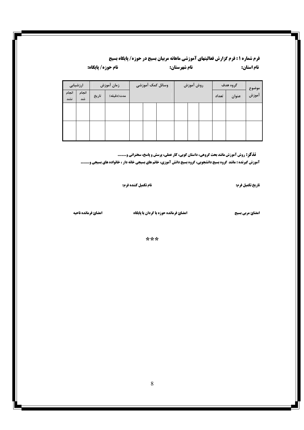## فرم شماره 1 : فرم گزارش فعالیتهای آموزشی ماهانه مربیان بسیج در حوزه/ پایگاه بسیج نام شهرستان:

نام حوزه/ پایگاه:

| ارزشیابی     |             | زمان آموزش |            | وسائل كمک آموزشى |  | روش آموزش |  | گروه هدف |       | موضوع |       |  |
|--------------|-------------|------------|------------|------------------|--|-----------|--|----------|-------|-------|-------|--|
| انجام<br>نشد | انجام<br>شد | تاريخ      | مدت(دقيقه) |                  |  |           |  |          | تعداد | عنوان | آموزش |  |
|              |             |            |            |                  |  |           |  |          |       |       |       |  |
|              |             |            |            |                  |  |           |  |          |       |       |       |  |
|              |             |            |            |                  |  |           |  |          |       |       |       |  |
|              |             |            |            |                  |  |           |  |          |       |       |       |  |
|              |             |            |            |                  |  |           |  |          |       |       |       |  |

**تذکر: روش آموزش مانند بحث گروهی، داستان گویی، کار عملی، پرسش و پاسخ، سخنرانی و....... آموزش گیرنده : مانند گروه بسیج دانشجویی، گروه بسیج دانش آموزی، خانم های بسیجی خانه دار ، خانواده های بسیجی و.......** 

تاريخ تكميل فرم:

نام استان:

نام تكميل كننده فرم:

امضائ مربي بسيج

**امضائ فرمانده حوزه یا گردان یا پایگاه** 

امضائ فرمانده ناحيه

\*\*\*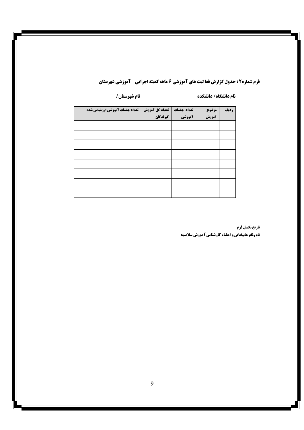## **فرم شماره2 : جدول گزارش فعا لیت های آموزشی 6 ماهه کمیته اجرایی -آموزشی شهرستان**

#### نام دانشگاه/ دانشکده

نام شهرستان /

| تعداد جلسات آموزشي ارزشيابي شده | تعداد کل آموزش | تعداد جلسات | موضوع | رديف |
|---------------------------------|----------------|-------------|-------|------|
|                                 | گیرندگان       | آموزشي      | آموزش |      |
|                                 |                |             |       |      |
|                                 |                |             |       |      |
|                                 |                |             |       |      |
|                                 |                |             |       |      |
|                                 |                |             |       |      |
|                                 |                |             |       |      |
|                                 |                |             |       |      |
|                                 |                |             |       |      |

## تاريخ تكميل فرم

**نام ونام خانوادگی و امضاء کارشناس آموزش سلامت:**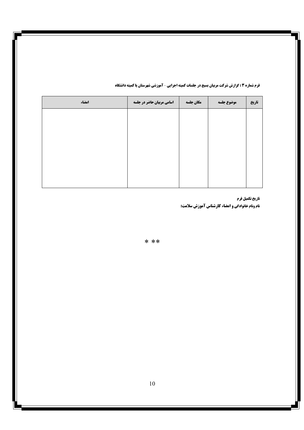|  |  | <b>فرم شماره 3 : گزارش شرکت مربیان بسیج در جلسات کمیته اجرایی - آموزشی شهرستان یا کمیته دانشگاه</b> |  |  |
|--|--|-----------------------------------------------------------------------------------------------------|--|--|
|--|--|-----------------------------------------------------------------------------------------------------|--|--|

| امضاء | <b>اسامی مربیان حاضر در جلسه</b> | مكان جلسه | موضوع جلسه | تاريخ |
|-------|----------------------------------|-----------|------------|-------|
|       |                                  |           |            |       |
|       |                                  |           |            |       |
|       |                                  |           |            |       |
|       |                                  |           |            |       |
|       |                                  |           |            |       |
|       |                                  |           |            |       |

تاريخ تكميل فرم **نام ونام خانوادگی و امضاء کارشناس آموزش سلامت:** 

 $* * *$